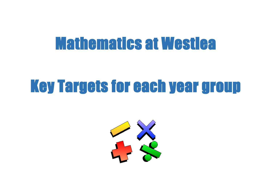## Mathematics at Westlea

## Key Targets for each year group

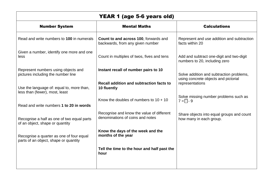| <b>YEAR 1 (age 5-6 years old)</b>                                                 |                                                                                  |                                                                           |
|-----------------------------------------------------------------------------------|----------------------------------------------------------------------------------|---------------------------------------------------------------------------|
| <b>Number System</b>                                                              | <b>Mental Maths</b>                                                              | <b>Calculations</b>                                                       |
| Read and write numbers to 100 in numerals                                         | <b>Count to and across 100, forwards and</b><br>backwards, from any given number | Represent and use addition and subtraction<br>facts within 20             |
| Given a number, identify one more and one<br>less                                 | Count in multiples of twos, fives and tens                                       | Add and subtract one-digit and two-digit<br>numbers to 20, including zero |
| Represent numbers using objects and<br>pictures including the number line         | Instant recall of number pairs to 10                                             | Solve addition and subtraction problems,                                  |
| Use the language of: equal to, more than,<br>less than (fewer), most, least       | Recall addition and subtraction facts to<br>10 fluently                          | using concrete objects and pictorial<br>representations                   |
| Read and write numbers 1 to 20 in words                                           | Know the doubles of numbers to $10 + 10$                                         | Solve missing number problems such as<br>$7 = \Box - 9$                   |
| Recognise a half as one of two equal parts<br>of an object, shape or quantity     | Recognise and know the value of different<br>denominations of coins and notes    | Share objects into equal groups and count<br>how many in each group.      |
| Recognise a quarter as one of four equal<br>parts of an object, shape or quantity | Know the days of the week and the<br>months of the year                          |                                                                           |
|                                                                                   | Tell the time to the hour and half past the<br>hour                              |                                                                           |
|                                                                                   |                                                                                  |                                                                           |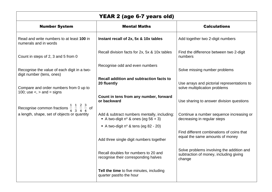| YEAR 2 (age 6-7 years old)                                                                                                           |                                                                                           |                                                                                               |
|--------------------------------------------------------------------------------------------------------------------------------------|-------------------------------------------------------------------------------------------|-----------------------------------------------------------------------------------------------|
| <b>Number System</b>                                                                                                                 | <b>Mental Maths</b>                                                                       | <b>Calculations</b>                                                                           |
| Read and write numbers to at least 100 in<br>numerals and in words                                                                   | Instant recall of 2x, 5x & 10x tables                                                     | Add together two 2-digit numbers                                                              |
| Count in steps of 2, 3 and 5 from 0                                                                                                  | Recall division facts for 2x, 5x & 10x tables                                             | Find the difference between two 2-digit<br>numbers                                            |
| Recognise the value of each digit in a two-<br>digit number (tens, ones)                                                             | Recognise odd and even numbers                                                            | Solve missing number problems                                                                 |
| Compare and order numbers from 0 up to<br>100; use $\lt$ , $>$ and $=$ signs                                                         | Recall addition and subtraction facts to<br>20 fluently                                   | Use arrays and pictorial representations to<br>solve multiplication problems                  |
|                                                                                                                                      | Count in tens from any number, forward<br>or backward                                     | Use sharing to answer division questions                                                      |
| Recognise common fractions $\frac{1}{4}$ $\frac{1}{3}$ $\frac{2}{4}$ $\frac{3}{4}$ of<br>a length, shape, set of objects or quantity | Add & subtract numbers mentally, including:<br>A two-digit $n^{\circ}$ & ones (eg 56 + 3) | Continue a number sequence increasing or<br>decreasing in regular steps                       |
|                                                                                                                                      | A two-digit $n^{\circ}$ & tens (eg 82 - 20)                                               |                                                                                               |
|                                                                                                                                      | Add three single digit numbers together                                                   | Find different combinations of coins that<br>equal the same amounts of money                  |
|                                                                                                                                      | Recall doubles for numbers to 20 and<br>recognise their corresponding halves              | Solve problems involving the addition and<br>subtraction of money, including giving<br>change |
|                                                                                                                                      | Tell the time to five minutes, including<br>quarter past/to the hour                      |                                                                                               |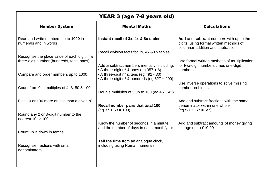| <b>YEAR 3 (age 7-8 years old)</b>                                                         |                                                                                                                                                 |                                                                                                                           |
|-------------------------------------------------------------------------------------------|-------------------------------------------------------------------------------------------------------------------------------------------------|---------------------------------------------------------------------------------------------------------------------------|
| <b>Number System</b>                                                                      | <b>Mental Maths</b>                                                                                                                             | <b>Calculations</b>                                                                                                       |
| Read and write numbers up to 1000 in<br>numerals and in words                             | Instant recall of 3x, 4x & 8x tables                                                                                                            | Add and subtract numbers with up to three<br>digits, using formal written methods of<br>columnar addition and subtraction |
| Recognise the place value of each digit in a<br>three-digit number (hundreds, tens, ones) | Recall division facts for 3x, 4x & 8x tables<br>Add & subtract numbers mentally, including:<br>A three-digit $n^{\circ}$ & ones (eg 357 + 6)    | Use formal written methods of multiplication<br>for two-digit numbers times one-digit<br>numbers                          |
| Compare and order numbers up to 1000<br>Count from 0 in multiples of 4, 8, 50 & 100       | A three-digit $n^{\circ}$ & tens (eg 492 - 30)<br>A three-digit nº & hundreds (eg 627 + 200)<br>Double multiples of 5 up to 100 (eg $45 + 45$ ) | Use inverse operations to solve missing<br>number problems                                                                |
| Find 10 or 100 more or less than a given n°                                               | Recall number pairs that total 100<br>$(eg 37 + 63 = 100)$                                                                                      | Add and subtract fractions with the same<br>denominator within one whole<br>$(eg 5/7 + 1/7 = 6/7)$                        |
| Round any 2 or 3-digit number to the<br>nearest 10 or 100                                 | Know the number of seconds in a minute                                                                                                          | Add and subtract amounts of money giving                                                                                  |
| Count up & down in tenths                                                                 | and the number of days in each month/year                                                                                                       | change up to £10.00                                                                                                       |
| Recognise fractions with small<br>denominators                                            | Tell the time from an analogue clock,<br>including using Roman numerals                                                                         |                                                                                                                           |
|                                                                                           |                                                                                                                                                 |                                                                                                                           |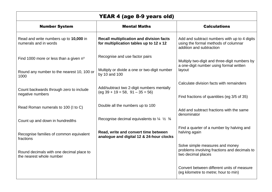| <b>YEAR 4 (age 8-9 years old)</b>                                    |                                                                                            |                                                                                                                  |
|----------------------------------------------------------------------|--------------------------------------------------------------------------------------------|------------------------------------------------------------------------------------------------------------------|
| <b>Number System</b>                                                 | <b>Mental Maths</b>                                                                        | <b>Calculations</b>                                                                                              |
| Read and write numbers up to 10,000 in<br>numerals and in words      | <b>Recall multiplication and division facts</b><br>for multiplication tables up to 12 x 12 | Add and subtract numbers with up to 4 digits<br>using the formal methods of columnar<br>addition and subtraction |
| Find 1000 more or less than a given n°                               | Recognise and use factor pairs                                                             | Multiply two-digit and three-digit numbers by                                                                    |
| Round any number to the nearest 10, 100 or<br>1000                   | Multiply or divide a one or two-digit number<br>by 10 and 100                              | a one-digit number using formal written<br>layout                                                                |
| Count backwards through zero to include<br>negative numbers          | Add/subtract two 2-digit numbers mentally<br>$(eq 39 + 19 = 58, 91 - 35 = 56)$             | Calculate division facts with remainders<br>Find fractions of quantities (eg 3/5 of 35)                          |
| Read Roman numerals to 100 (I to C)                                  | Double all the numbers up to 100                                                           | Add and subtract fractions with the same<br>denominator                                                          |
| Count up and down in hundredths                                      | Recognise decimal equivalents to $\frac{1}{4}$ $\frac{1}{2}$ $\frac{3}{4}$                 |                                                                                                                  |
| Recognise families of common equivalent<br>fractions                 | Read, write and convert time between<br>analogue and digital 12 & 24-hour clocks           | Find a quarter of a number by halving and<br>halving again                                                       |
| Round decimals with one decimal place to<br>the nearest whole number |                                                                                            | Solve simple measures and money<br>problems involving fractions and decimals to<br>two decimal places            |
|                                                                      |                                                                                            | Convert between different units of measure<br>(eg kilometre to metre; hour to min)                               |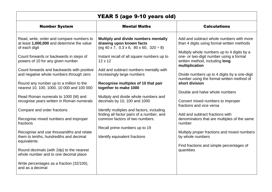| YEAR 5 (age 9-10 years old)                                                                                                                                                                                                                                                                                                                                                                                                                                                                                                                                                                                                                                                                                                                 |                                                                                                                                                                                                                                                                                                                                                                                                                                                                                                                                                                                                |                                                                                                                                                                                                                                                                                                                                                                                                                                                                                                                                                                                                                                                                                |
|---------------------------------------------------------------------------------------------------------------------------------------------------------------------------------------------------------------------------------------------------------------------------------------------------------------------------------------------------------------------------------------------------------------------------------------------------------------------------------------------------------------------------------------------------------------------------------------------------------------------------------------------------------------------------------------------------------------------------------------------|------------------------------------------------------------------------------------------------------------------------------------------------------------------------------------------------------------------------------------------------------------------------------------------------------------------------------------------------------------------------------------------------------------------------------------------------------------------------------------------------------------------------------------------------------------------------------------------------|--------------------------------------------------------------------------------------------------------------------------------------------------------------------------------------------------------------------------------------------------------------------------------------------------------------------------------------------------------------------------------------------------------------------------------------------------------------------------------------------------------------------------------------------------------------------------------------------------------------------------------------------------------------------------------|
| <b>Number System</b>                                                                                                                                                                                                                                                                                                                                                                                                                                                                                                                                                                                                                                                                                                                        | <b>Mental Maths</b>                                                                                                                                                                                                                                                                                                                                                                                                                                                                                                                                                                            | <b>Calculations</b>                                                                                                                                                                                                                                                                                                                                                                                                                                                                                                                                                                                                                                                            |
| Read, write, order and compare numbers to<br>at least 1,000,000 and determine the value<br>of each digit<br>Count forwards or backwards in steps of<br>powers of 10 for any given number<br>Count forwards and backwards with positive<br>and negative whole numbers through zero<br>Round any number up to a million to the<br>nearest 10, 100, 1000, 10 000 and 100 000<br>Read Roman numerals to 1000 (M) and<br>recognise years written in Roman numerals<br>Compare and order fractions<br>Recognise mixed numbers and improper<br>fractions<br>Recognise and use thousandths and relate<br>them to tenths, hundredths and decimal<br>equivalents<br>Round decimals (with 2dp) to the nearest<br>whole number and to one decimal place | Multiply and divide numbers mentally<br>drawing upon known facts<br>$(eg 40 x 7, 0.3 x 6, 80 x 60, 320 \div 8)$<br>Instant recall of all square numbers up to<br>$12 \times 12$<br>Add and subtract numbers mentally with<br>increasingly large numbers<br>Recognise multiples of 10 that pair<br>together to make 1000<br>Multiply and divide whole numbers and<br>decimals by 10, 100 and 1000<br>Identify multiples and factors, including<br>finding all factor pairs of a number, and<br>common factors of two numbers.<br>Recall prime numbers up to 19<br>Identify equivalent fractions | Add and subtract whole numbers with more<br>than 4 digits using formal written methods<br>Multiply whole numbers up to 4 digits by a<br>one- or two-digit number using a formal<br>written method, including long<br>multiplication<br>Divide numbers up to 4 digits by a one-digit<br>number using the formal written method of<br>short division<br>Double and halve whole numbers<br>Convert mixed numbers to improper<br>fractions and vice versa<br>Add and subtract fractions with<br>denominators that are multiples of the same<br>number<br>Multiply proper fractions and mixed numbers<br>by whole numbers<br>Find fractions and simple percentages of<br>quantities |
| Write percentages as a fraction (32/100),<br>and as a decimal                                                                                                                                                                                                                                                                                                                                                                                                                                                                                                                                                                                                                                                                               |                                                                                                                                                                                                                                                                                                                                                                                                                                                                                                                                                                                                |                                                                                                                                                                                                                                                                                                                                                                                                                                                                                                                                                                                                                                                                                |